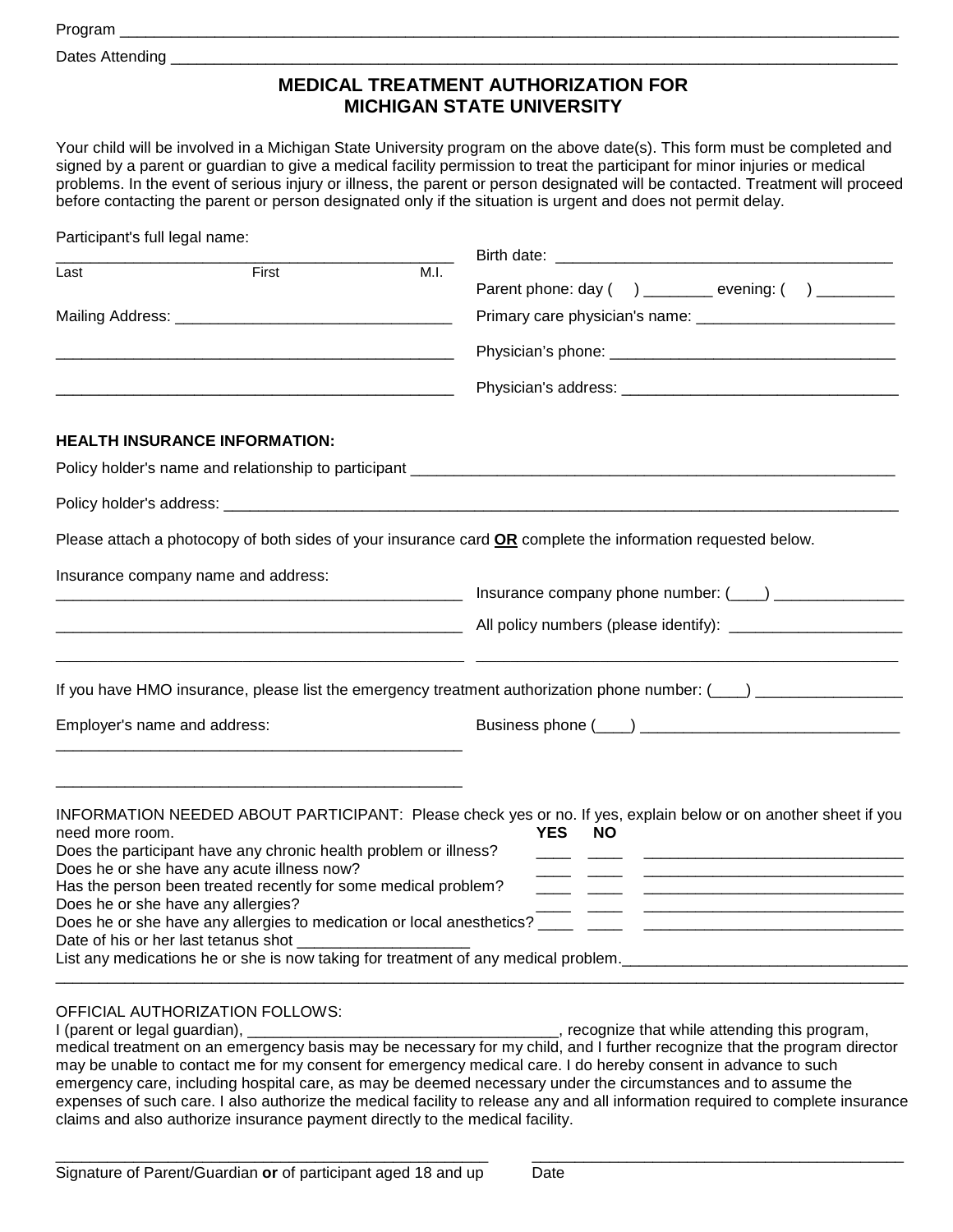Program \_\_\_\_\_\_\_\_\_\_\_\_\_\_\_\_\_\_\_\_\_\_\_\_\_\_\_\_\_\_\_\_\_\_\_\_\_\_\_\_\_\_\_\_\_\_\_\_\_\_\_\_\_\_\_\_\_\_\_\_\_\_\_\_\_\_\_\_\_\_\_\_\_\_\_\_\_\_\_\_\_\_\_\_\_\_\_\_\_\_

Dates Attending

## **MEDICAL TREATMENT AUTHORIZATION FOR MICHIGAN STATE UNIVERSITY**

Your child will be involved in a Michigan State University program on the above date(s). This form must be completed and signed by a parent or guardian to give a medical facility permission to treat the participant for minor injuries or medical problems. In the event of serious injury or illness, the parent or person designated will be contacted. Treatment will proceed before contacting the parent or person designated only if the situation is urgent and does not permit delay.

| Participant's full legal name:     |                                                                                                                                                                |      |                                                                                                                                           |  |
|------------------------------------|----------------------------------------------------------------------------------------------------------------------------------------------------------------|------|-------------------------------------------------------------------------------------------------------------------------------------------|--|
| Last                               | First                                                                                                                                                          | M.I. | Parent phone: day () _______ evening: $($ ) ________                                                                                      |  |
|                                    |                                                                                                                                                                |      |                                                                                                                                           |  |
|                                    |                                                                                                                                                                |      |                                                                                                                                           |  |
|                                    |                                                                                                                                                                |      |                                                                                                                                           |  |
|                                    | <b>HEALTH INSURANCE INFORMATION:</b>                                                                                                                           |      |                                                                                                                                           |  |
|                                    |                                                                                                                                                                |      |                                                                                                                                           |  |
|                                    |                                                                                                                                                                |      |                                                                                                                                           |  |
|                                    |                                                                                                                                                                |      | Please attach a photocopy of both sides of your insurance card OR complete the information requested below.                               |  |
|                                    | Insurance company name and address:                                                                                                                            |      |                                                                                                                                           |  |
|                                    | <u> 1989 - Johann John Stein, marwolaethau (b. 1989)</u>                                                                                                       |      |                                                                                                                                           |  |
|                                    |                                                                                                                                                                |      |                                                                                                                                           |  |
| Employer's name and address:       |                                                                                                                                                                |      |                                                                                                                                           |  |
| need more room.                    | Does the participant have any chronic health problem or illness?                                                                                               |      | INFORMATION NEEDED ABOUT PARTICIPANT: Please check yes or no. If yes, explain below or on another sheet if you<br><b>YES</b><br><b>NO</b> |  |
| Does he or she have any allergies? | Does he or she have any acute illness now?<br>Has the person been treated recently for some medical problem?<br>Date of his or her last tetanus shot _________ |      | List any medications he or she is now taking for treatment of any medical problem.<br>                                                    |  |

## OFFICIAL AUTHORIZATION FOLLOWS:<br>I (parent or legal guardian),

I recognize that while attending this program, medical treatment on an emergency basis may be necessary for my child, and I further recognize that the program director may be unable to contact me for my consent for emergency medical care. I do hereby consent in advance to such emergency care, including hospital care, as may be deemed necessary under the circumstances and to assume the expenses of such care. I also authorize the medical facility to release any and all information required to complete insurance claims and also authorize insurance payment directly to the medical facility.

\_\_\_\_\_\_\_\_\_\_\_\_\_\_\_\_\_\_\_\_\_\_\_\_\_\_\_\_\_\_\_\_\_\_\_\_\_\_\_\_\_\_\_\_\_\_\_\_\_\_ \_\_\_\_\_\_\_\_\_\_\_\_\_\_\_\_\_\_\_\_\_\_\_\_\_\_\_\_\_\_\_\_\_\_\_\_\_\_\_\_\_\_\_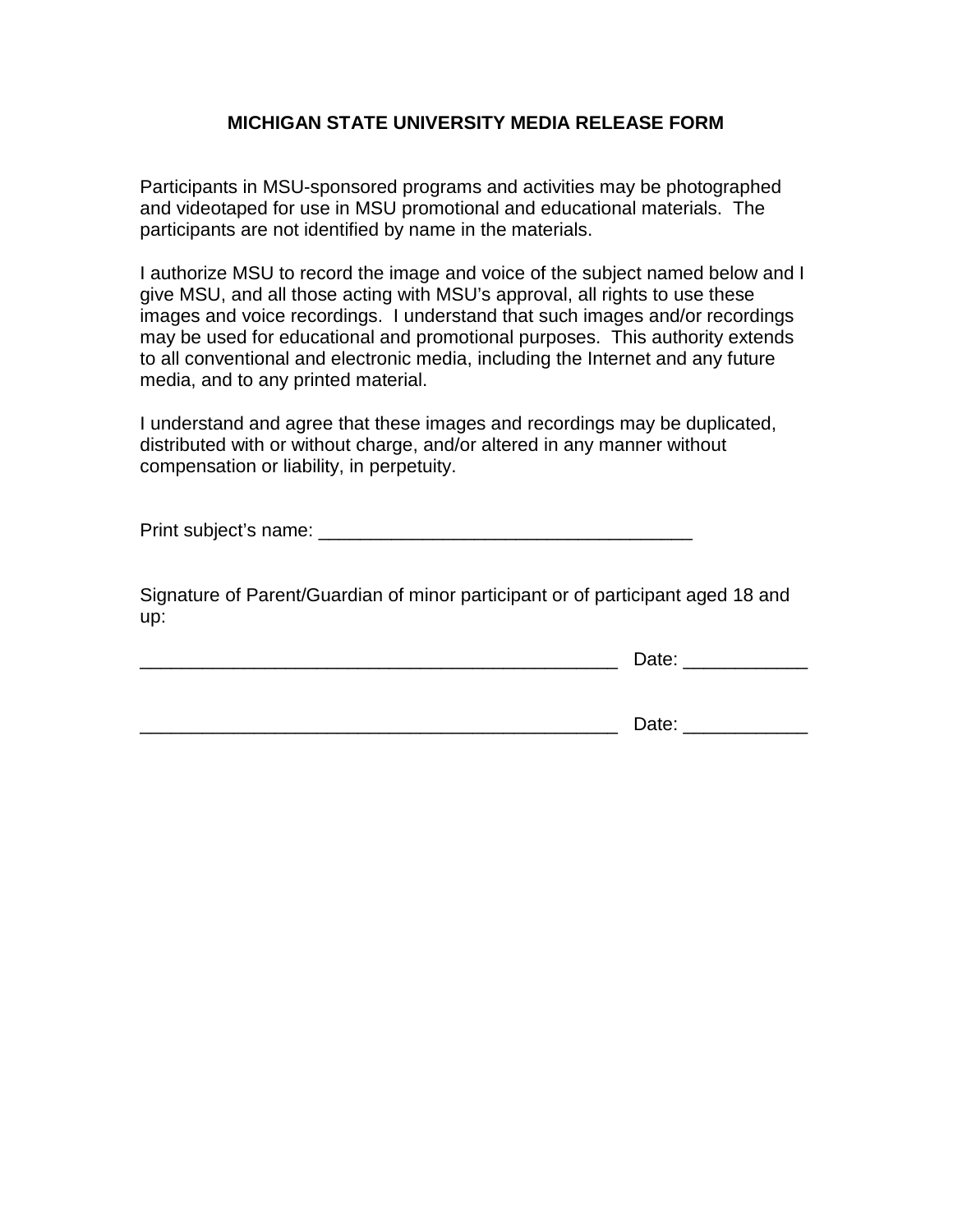## **MICHIGAN STATE UNIVERSITY MEDIA RELEASE FORM**

Participants in MSU-sponsored programs and activities may be photographed and videotaped for use in MSU promotional and educational materials. The participants are not identified by name in the materials.

I authorize MSU to record the image and voice of the subject named below and I give MSU, and all those acting with MSU's approval, all rights to use these images and voice recordings. I understand that such images and/or recordings may be used for educational and promotional purposes. This authority extends to all conventional and electronic media, including the Internet and any future media, and to any printed material.

I understand and agree that these images and recordings may be duplicated, distributed with or without charge, and/or altered in any manner without compensation or liability, in perpetuity.

Print subject's name: \_\_\_\_\_\_\_\_\_\_\_\_\_\_\_\_\_\_\_\_\_\_\_\_\_\_\_\_\_\_\_\_\_\_\_\_

Signature of Parent/Guardian of minor participant or of participant aged 18 and up:

\_\_\_\_\_\_\_\_\_\_\_\_\_\_\_\_\_\_\_\_\_\_\_\_\_\_\_\_\_\_\_\_\_\_\_\_\_\_\_\_\_\_\_\_\_\_ Date: \_\_\_\_\_\_\_\_\_\_\_\_

\_\_\_\_\_\_\_\_\_\_\_\_\_\_\_\_\_\_\_\_\_\_\_\_\_\_\_\_\_\_\_\_\_\_\_\_\_\_\_\_\_\_\_\_\_\_ Date: \_\_\_\_\_\_\_\_\_\_\_\_